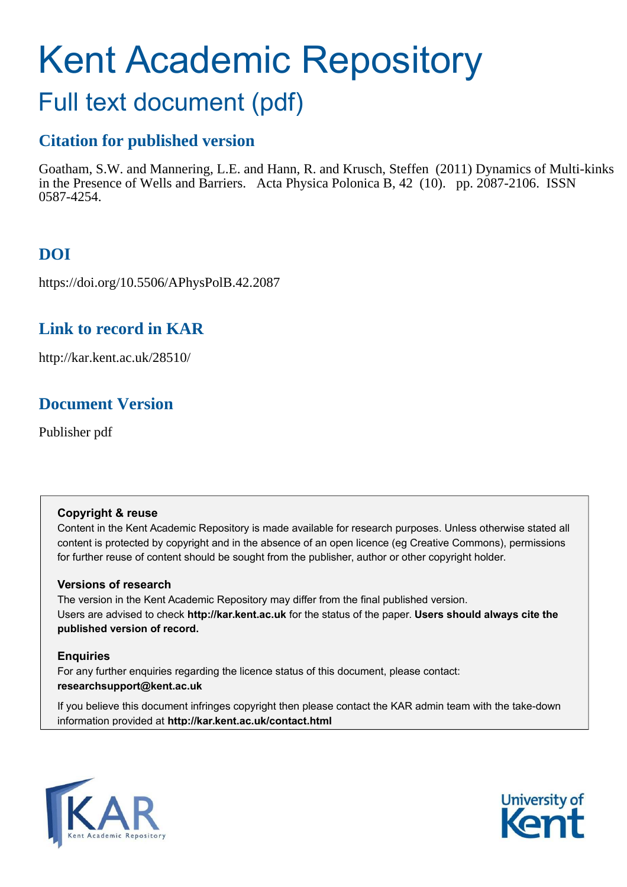# Kent Academic Repository

## Full text document (pdf)

## **Citation for published version**

Goatham, S.W. and Mannering, L.E. and Hann, R. and Krusch, Steffen (2011) Dynamics of Multi-kinks in the Presence of Wells and Barriers. Acta Physica Polonica B, 42 (10). pp. 2087-2106. ISSN 0587-4254.

## **DOI**

https://doi.org/10.5506/APhysPolB.42.2087

## **Link to record in KAR**

http://kar.kent.ac.uk/28510/

## **Document Version**

Publisher pdf

#### **Copyright & reuse**

Content in the Kent Academic Repository is made available for research purposes. Unless otherwise stated all content is protected by copyright and in the absence of an open licence (eg Creative Commons), permissions for further reuse of content should be sought from the publisher, author or other copyright holder.

#### <span id="page-0-0"></span>**Versions of research**

The version in the Kent Academic Repository may differ from the final published version. Users are advised to check **http://kar.kent.ac.uk** for the status of the paper. **Users should always cite the published version of record.**

#### **Enquiries**

For any further enquiries regarding the licence status of this document, please contact: **researchsupport@kent.ac.uk**

If you believe this document infringes copyright then please contact the KAR admin team with the take-down information provided at **http://kar.kent.ac.uk/contact.html**



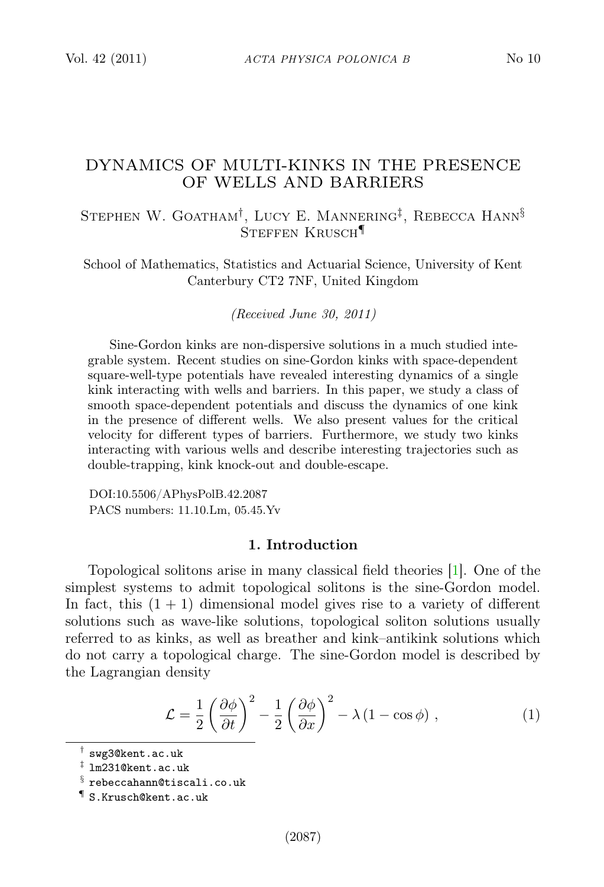#### <span id="page-1-0"></span>DYNAMICS OF MULTI-KINKS IN THE PRESENCE OF WELLS AND BARRIERS

#### Stephen W. Goatham† , Lucy E. Mannering‡ , Rebecca Hann§ STEFFEN KRUSCH<sup>¶</sup>

School of Mathematics, Statistics and Actuarial Science, University of Kent Canterbury CT2 7NF, United Kingdom

*(Received June 30, 2011)*

Sine-Gordon kinks are non-dispersive solutions in a much studied integrable system. Recent studies on sine-Gordon kinks with space-dependent square-well-type potentials have revealed interesting dynamics of a single kink interacting with wells and barriers. In this paper, we study a class of smooth space-dependent potentials and discuss the dynamics of one kink in the presence of different wells. We also present values for the critical velocity for different types of barriers. Furthermore, we study two kinks interacting with various wells and describe interesting trajectories such as double-trapping, kink knock-out and double-escape.

DOI:10.5506/APhysPolB.42.2087 PACS numbers: 11.10.Lm, 05.45.Yv

#### 1. Introduction

Topological solitons arise in many classical field theories [\[1\]](#page-18-0). One of the simplest systems to admit topological solitons is the sine-Gordon model. In fact, this  $(1 + 1)$  dimensional model gives rise to a variety of different solutions such as wave-like solutions, topological soliton solutions usually referred to as kinks, as well as breather and kink–antikink solutions which do not carry a topological charge. The sine-Gordon model is described by the Lagrangian density

$$
\mathcal{L} = \frac{1}{2} \left( \frac{\partial \phi}{\partial t} \right)^2 - \frac{1}{2} \left( \frac{\partial \phi}{\partial x} \right)^2 - \lambda \left( 1 - \cos \phi \right) , \qquad (1)
$$

<sup>†</sup> swg3@kent.ac.uk

<sup>‡</sup> lm231@kent.ac.uk

 $\S$  rebeccahann@tiscali.co.uk

<sup>¶</sup> S.Krusch@kent.ac.uk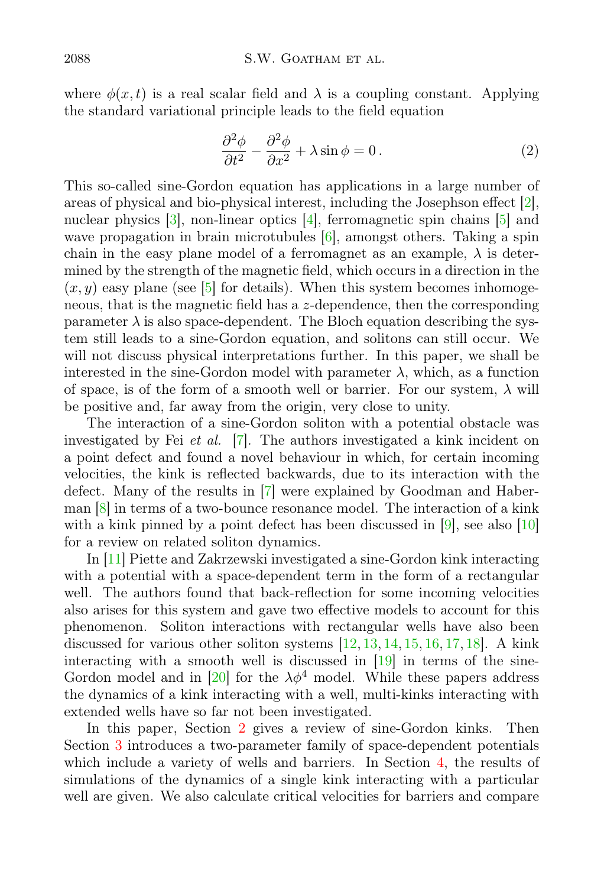where  $\phi(x, t)$  is a real scalar field and  $\lambda$  is a coupling constant. Applying the standard variational principle leads to the field equation

$$
\frac{\partial^2 \phi}{\partial t^2} - \frac{\partial^2 \phi}{\partial x^2} + \lambda \sin \phi = 0.
$$
 (2)

<span id="page-2-1"></span><span id="page-2-0"></span>This so-called sine-Gordon equation has applications in a large number of areas of physical and bio-physical interest, including the Josephson effect [\[2\]](#page-18-1), nuclear physics [\[3\]](#page-18-2), non-linear optics [\[4\]](#page-18-3), ferromagnetic spin chains [\[5\]](#page-18-4) and wave propagation in brain microtubules [\[6\]](#page-18-5), amongst others. Taking a spin chain in the easy plane model of a ferromagnet as an example,  $\lambda$  is determined by the strength of the magnetic field, which occurs in a direction in the  $(x, y)$  easy plane (see [\[5\]](#page-18-4) for details). When this system becomes inhomogeneous, that is the magnetic field has a z-dependence, then the corresponding parameter  $\lambda$  is also space-dependent. The Bloch equation describing the system still leads to a sine-Gordon equation, and solitons can still occur. We will not discuss physical interpretations further. In this paper, we shall be interested in the sine-Gordon model with parameter  $\lambda$ , which, as a function of space, is of the form of a smooth well or barrier. For our system,  $\lambda$  will be positive and, far away from the origin, very close to unity.

<span id="page-2-2"></span>The interaction of a sine-Gordon soliton with a potential obstacle was investigated by Fei et al. [\[7\]](#page-18-6). The authors investigated a kink incident on a point defect and found a novel behaviour in which, for certain incoming velocities, the kink is reflected backwards, due to its interaction with the defect. Many of the results in [\[7\]](#page-18-6) were explained by Goodman and Haberman [\[8\]](#page-18-7) in terms of a two-bounce resonance model. The interaction of a kink with a kink pinned by a point defect has been discussed in [\[9\]](#page-18-8), see also [\[10\]](#page-18-9) for a review on related soliton dynamics.

<span id="page-2-4"></span><span id="page-2-3"></span>In [\[11\]](#page-18-10) Piette and Zakrzewski investigated a sine-Gordon kink interacting with a potential with a space-dependent term in the form of a rectangular well. The authors found that back-reflection for some incoming velocities also arises for this system and gave two effective models to account for this phenomenon. Soliton interactions with rectangular wells have also been discussed for various other soliton systems [\[12,](#page-18-11) [13,](#page-18-12) [14,](#page-18-13) [15,](#page-18-14) [16,](#page-18-15) [17,](#page-18-16) [18\]](#page-18-17). A kink interacting with a smooth well is discussed in [\[19\]](#page-18-18) in terms of the sine-Gordon model and in [\[20\]](#page-18-19) for the  $\lambda \phi^4$  model. While these papers address the dynamics of a kink interacting with a well, multi-kinks interacting with extended wells have so far not been investigated.

<span id="page-2-5"></span>In this paper, Section [2](#page-2-0) gives a review of sine-Gordon kinks. Then Section [3](#page-4-0) introduces a two-parameter family of space-dependent potentials which include a variety of wells and barriers. In Section [4,](#page-8-0) the results of simulations of the dynamics of a single kink interacting with a particular well are given. We also calculate critical velocities for barriers and compare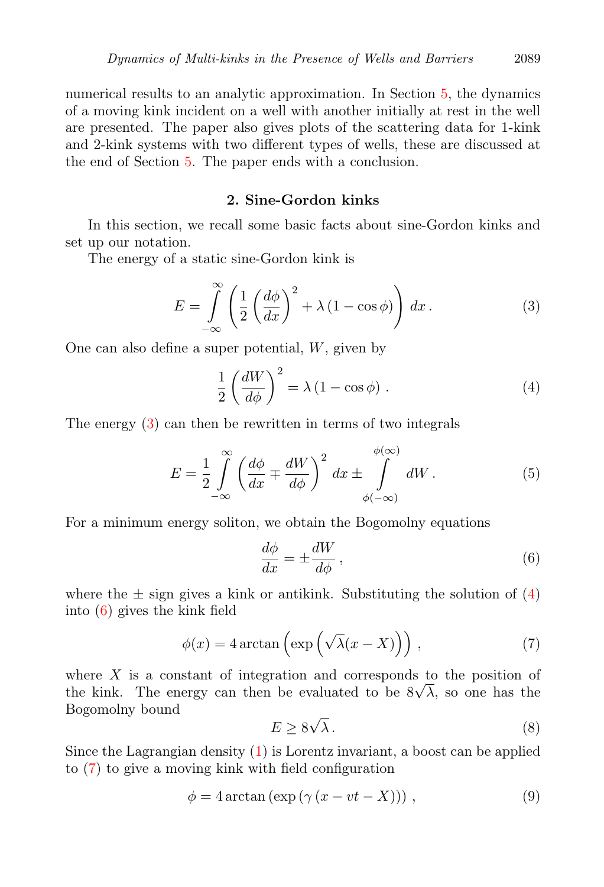numerical results to an analytic approximation. In Section [5,](#page-12-0) the dynamics of a moving kink incident on a well with another initially at rest in the well are presented. The paper also gives plots of the scattering data for 1-kink and 2-kink systems with two different types of wells, these are discussed at the end of Section [5.](#page-12-0) The paper ends with a conclusion.

#### <span id="page-3-0"></span>2. Sine-Gordon kinks

In this section, we recall some basic facts about sine-Gordon kinks and set up our notation.

The energy of a static sine-Gordon kink is

$$
E = \int_{-\infty}^{\infty} \left( \frac{1}{2} \left( \frac{d\phi}{dx} \right)^2 + \lambda \left( 1 - \cos \phi \right) \right) dx.
$$
 (3)

One can also define a super potential, W, given by

$$
\frac{1}{2} \left( \frac{dW}{d\phi} \right)^2 = \lambda \left( 1 - \cos \phi \right). \tag{4}
$$

The energy [\(3\)](#page-2-1) can then be rewritten in terms of two integrals

$$
E = \frac{1}{2} \int_{-\infty}^{\infty} \left( \frac{d\phi}{dx} \mp \frac{dW}{d\phi} \right)^2 dx \pm \int_{\phi(-\infty)}^{\phi(\infty)} dW.
$$
 (5)

For a minimum energy soliton, we obtain the Bogomolny equations

$$
\frac{d\phi}{dx} = \pm \frac{dW}{d\phi},\qquad(6)
$$

where the  $\pm$  sign gives a kink or antikink. Substituting the solution of [\(4\)](#page-2-2) into [\(6\)](#page-2-3) gives the kink field

<span id="page-3-1"></span>
$$
\phi(x) = 4 \arctan\left(\exp\left(\sqrt{\lambda}(x - X)\right)\right),\tag{7}
$$

where  $X$  is a constant of integration and corresponds to the position of the kink. The energy can then be evaluated to be  $8\sqrt{\lambda}$ , so one has the Bogomolny bound

$$
E \ge 8\sqrt{\lambda} \,. \tag{8}
$$

Since the Lagrangian density  $(1)$  is Lorentz invariant, a boost can be applied to [\(7\)](#page-2-4) to give a moving kink with field configuration

$$
\phi = 4 \arctan \left( \exp \left( \gamma \left( x - vt - X \right) \right) \right),\tag{9}
$$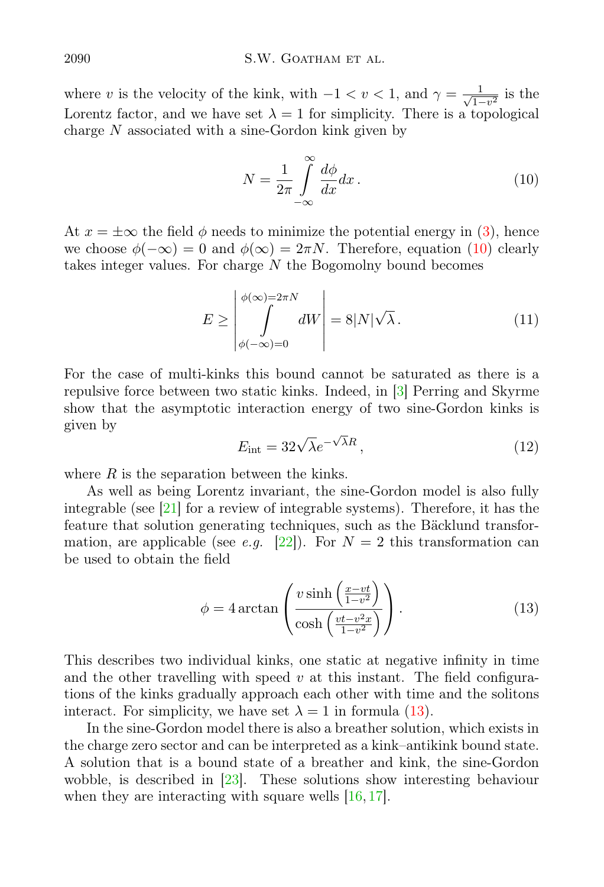<span id="page-4-0"></span>where v is the velocity of the kink, with  $-1 < v < 1$ , and  $\gamma = \frac{1}{\sqrt{1-v^2}}$  is the Lorentz factor, and we have set  $\lambda = 1$  for simplicity. There is a topological charge  $N$  associated with a sine-Gordon kink given by

$$
N = \frac{1}{2\pi} \int_{-\infty}^{\infty} \frac{d\phi}{dx} dx.
$$
 (10)

At  $x = \pm \infty$  the field  $\phi$  needs to minimize the potential energy in [\(3\)](#page-2-1), hence we choose  $\phi(-\infty) = 0$  and  $\phi(\infty) = 2\pi N$ . Therefore, equation [\(10\)](#page-3-0) clearly takes integer values. For charge  $N$  the Bogomolny bound becomes

$$
E \ge \left| \int_{\phi(-\infty)=0}^{\phi(\infty)=2\pi N} dW \right| = 8|N|\sqrt{\lambda}.
$$
 (11)

For the case of multi-kinks this bound cannot be saturated as there is a repulsive force between two static kinks. Indeed, in [\[3\]](#page-18-2) Perring and Skyrme show that the asymptotic interaction energy of two sine-Gordon kinks is given by

$$
E_{\rm int} = 32\sqrt{\lambda}e^{-\sqrt{\lambda}R},\qquad(12)
$$

where  $R$  is the separation between the kinks.

<span id="page-4-1"></span>As well as being Lorentz invariant, the sine-Gordon model is also fully integrable (see [\[21\]](#page-18-20) for a review of integrable systems). Therefore, it has the feature that solution generating techniques, such as the Bäcklund transfor-mation, are applicable (see e.g. [\[22\]](#page-18-21)). For  $N = 2$  this transformation can be used to obtain the field

<span id="page-4-2"></span>
$$
\phi = 4 \arctan\left(\frac{v \sinh\left(\frac{x - vt}{1 - v^2}\right)}{\cosh\left(\frac{vt - v^2 x}{1 - v^2}\right)}\right). \tag{13}
$$

This describes two individual kinks, one static at negative infinity in time and the other travelling with speed  $v$  at this instant. The field configurations of the kinks gradually approach each other with time and the solitons interact. For simplicity, we have set  $\lambda = 1$  in formula [\(13\)](#page-3-1).

<span id="page-4-3"></span>In the sine-Gordon model there is also a breather solution, which exists in the charge zero sector and can be interpreted as a kink–antikink bound state. A solution that is a bound state of a breather and kink, the sine-Gordon wobble, is described in [\[23\]](#page-18-22). These solutions show interesting behaviour when they are interacting with square wells  $[16, 17]$  $[16, 17]$ .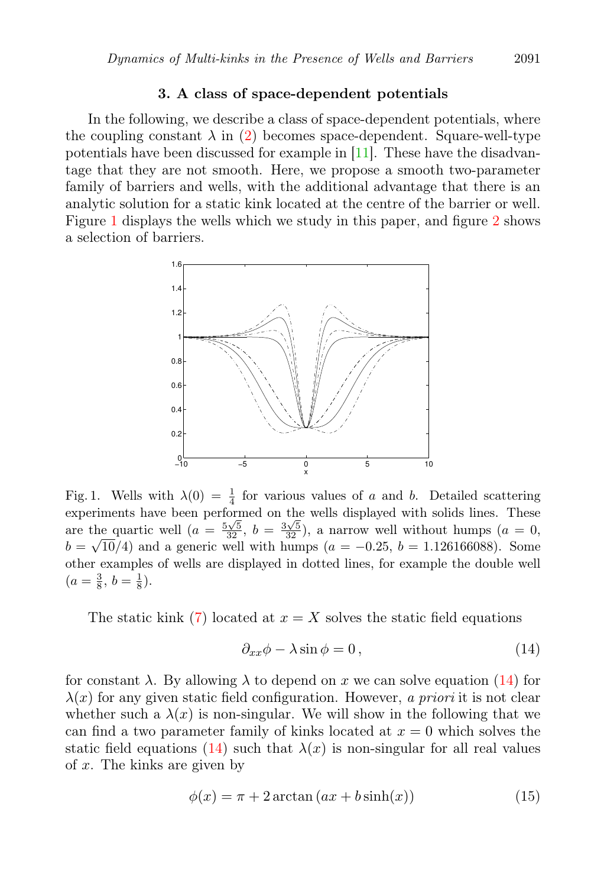#### <span id="page-5-0"></span>3. A class of space-dependent potentials

In the following, we describe a class of space-dependent potentials, where the coupling constant  $\lambda$  in [\(2\)](#page-1-0) becomes space-dependent. Square-well-type potentials have been discussed for example in [\[11\]](#page-18-10). These have the disadvantage that they are not smooth. Here, we propose a smooth two-parameter family of barriers and wells, with the additional advantage that there is an analytic solution for a static kink located at the centre of the barrier or well. Figure [1](#page-4-1) displays the wells which we study in this paper, and figure [2](#page-7-0) shows a selection of barriers.



Fig. 1. Wells with  $\lambda(0) = \frac{1}{4}$  for various values of a and b. Detailed scattering experiments have been performed on the wells displayed with solids lines. These are the quartic well  $(a = \frac{5\sqrt{5}}{32}, b = \frac{3\sqrt{5}}{32})$ , a narrow well without humps  $(a = 0,$  $b = \sqrt{10}/4$ ) and a generic well with humps  $(a = -0.25, b = 1.126166088)$ . Some other examples of wells are displayed in dotted lines, for example the double well  $(a=\frac{3}{8}, b=\frac{1}{8}).$ 

The static kink [\(7\)](#page-2-4) located at  $x = X$  solves the static field equations

$$
\partial_{xx}\phi - \lambda\sin\phi = 0, \qquad (14)
$$

for constant  $\lambda$ . By allowing  $\lambda$  to depend on x we can solve equation [\(14\)](#page-4-2) for  $\lambda(x)$  for any given static field configuration. However, a priori it is not clear whether such a  $\lambda(x)$  is non-singular. We will show in the following that we can find a two parameter family of kinks located at  $x = 0$  which solves the static field equations [\(14\)](#page-4-2) such that  $\lambda(x)$  is non-singular for all real values of  $x$ . The kinks are given by

$$
\phi(x) = \pi + 2\arctan(ax + b\sinh(x))\tag{15}
$$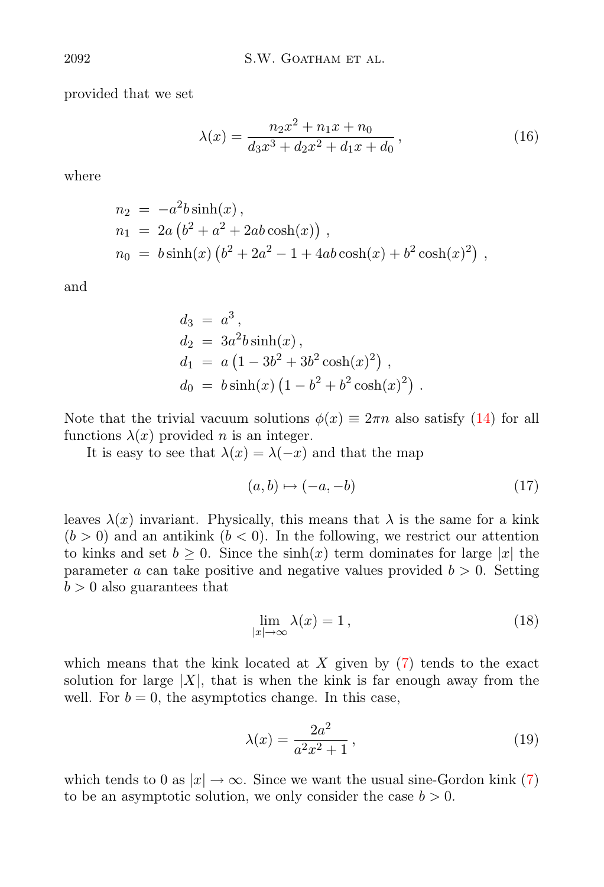provided that we set

$$
\lambda(x) = \frac{n_2 x^2 + n_1 x + n_0}{d_3 x^3 + d_2 x^2 + d_1 x + d_0},\tag{16}
$$

where

$$
n_2 = -a^2b\sinh(x),
$$
  
\n
$$
n_1 = 2a (b^2 + a^2 + 2ab\cosh(x)),
$$
  
\n
$$
n_0 = b\sinh(x) (b^2 + 2a^2 - 1 + 4ab\cosh(x) + b^2\cosh(x)^2),
$$

and

<span id="page-6-0"></span>
$$
d_3 = a^3,
$$
  
\n
$$
d_2 = 3a^2b\sinh(x),
$$
  
\n
$$
d_1 = a(1 - 3b^2 + 3b^2\cosh(x)^2),
$$
  
\n
$$
d_0 = b\sinh(x)(1 - b^2 + b^2\cosh(x)^2).
$$

Note that the trivial vacuum solutions  $\phi(x) \equiv 2\pi n$  also satisfy [\(14\)](#page-4-2) for all functions  $\lambda(x)$  provided *n* is an integer.

It is easy to see that  $\lambda(x) = \lambda(-x)$  and that the map

<span id="page-6-1"></span>
$$
(a,b)\mapsto(-a,-b)\tag{17}
$$

leaves  $\lambda(x)$  invariant. Physically, this means that  $\lambda$  is the same for a kink  $(b > 0)$  and an antikink  $(b < 0)$ . In the following, we restrict our attention to kinks and set  $b > 0$ . Since the  $sinh(x)$  term dominates for large |x| the parameter a can take positive and negative values provided  $b > 0$ . Setting  $b > 0$  also guarantees that

$$
\lim_{|x| \to \infty} \lambda(x) = 1, \tag{18}
$$

which means that the kink located at  $X$  given by  $(7)$  tends to the exact solution for large  $|X|$ , that is when the kink is far enough away from the well. For  $b = 0$ , the asymptotics change. In this case,

<span id="page-6-2"></span>
$$
\lambda(x) = \frac{2a^2}{a^2x^2 + 1},
$$
\n(19)

which tends to 0 as  $|x| \to \infty$ . Since we want the usual sine-Gordon kink [\(7\)](#page-2-4) to be an asymptotic solution, we only consider the case  $b > 0$ .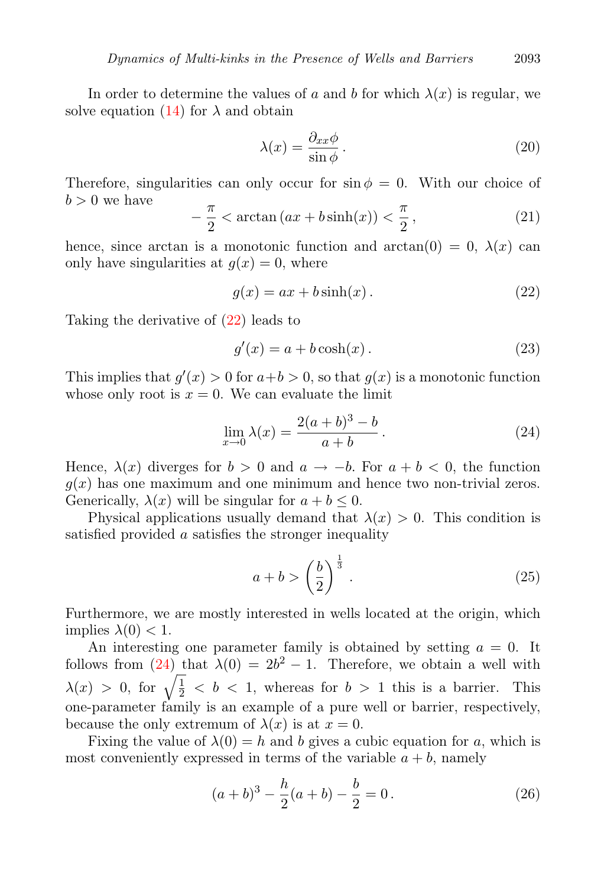In order to determine the values of a and b for which  $\lambda(x)$  is regular, we solve equation  $(14)$  for  $\lambda$  and obtain

$$
\lambda(x) = \frac{\partial_{xx}\phi}{\sin\phi}.
$$
\n(20)

Therefore, singularities can only occur for  $\sin \phi = 0$ . With our choice of  $b > 0$  we have

$$
-\frac{\pi}{2} < \arctan\left(ax + b\sinh(x)\right) < \frac{\pi}{2},\tag{21}
$$

<span id="page-7-1"></span>hence, since arctan is a monotonic function and  $arctan(0) = 0$ ,  $\lambda(x)$  can only have singularities at  $q(x) = 0$ , where

$$
g(x) = ax + b\sinh(x). \tag{22}
$$

Taking the derivative of [\(22\)](#page-6-0) leads to

$$
g'(x) = a + b \cosh(x). \tag{23}
$$

This implies that  $g'(x) > 0$  for  $a+b > 0$ , so that  $g(x)$  is a monotonic function whose only root is  $x = 0$ . We can evaluate the limit

$$
\lim_{x \to 0} \lambda(x) = \frac{2(a+b)^3 - b}{a+b} \,. \tag{24}
$$

Hence,  $\lambda(x)$  diverges for  $b > 0$  and  $a \to -b$ . For  $a + b < 0$ , the function  $g(x)$  has one maximum and one minimum and hence two non-trivial zeros. Generically,  $\lambda(x)$  will be singular for  $a + b \leq 0$ .

Physical applications usually demand that  $\lambda(x) > 0$ . This condition is satisfied provided a satisfies the stronger inequality

$$
a+b > \left(\frac{b}{2}\right)^{\frac{1}{3}}.
$$
\n
$$
(25)
$$

Furthermore, we are mostly interested in wells located at the origin, which implies  $\lambda(0) < 1$ .

An interesting one parameter family is obtained by setting  $a = 0$ . It follows from  $(24)$  that  $\lambda(0) = 2b^2 - 1$ . Therefore, we obtain a well with  $\lambda(x) > 0$ , for  $\sqrt{\frac{1}{2}} < b < 1$ , whereas for  $b > 1$  this is a barrier. This one-parameter family is an example of a pure well or barrier, respectively, because the only extremum of  $\lambda(x)$  is at  $x = 0$ .

<span id="page-7-0"></span>Fixing the value of  $\lambda(0) = h$  and b gives a cubic equation for a, which is most conveniently expressed in terms of the variable  $a + b$ , namely

$$
(a+b)^3 - \frac{h}{2}(a+b) - \frac{b}{2} = 0.
$$
 (26)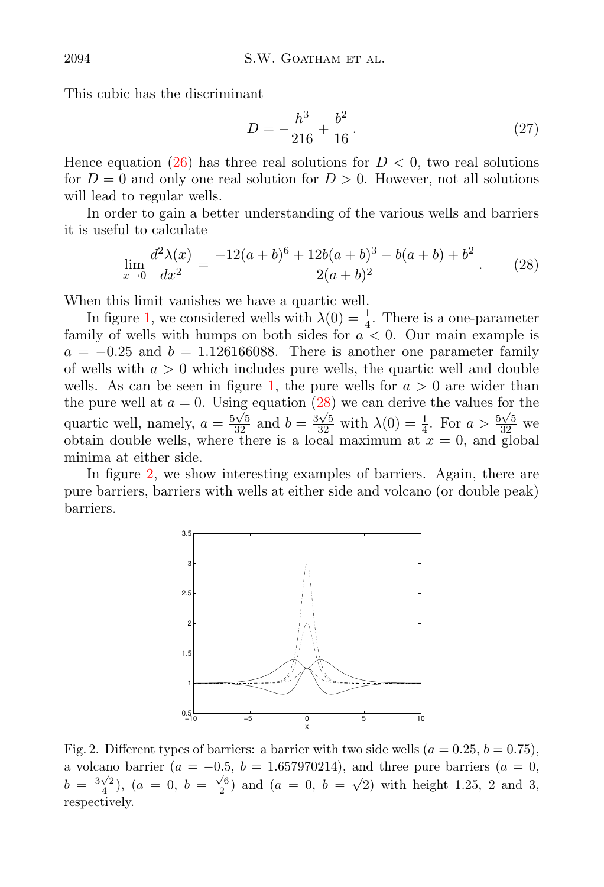<span id="page-8-0"></span>This cubic has the discriminant

$$
D = -\frac{h^3}{216} + \frac{b^2}{16} \,. \tag{27}
$$

Hence equation [\(26\)](#page-6-2) has three real solutions for  $D < 0$ , two real solutions for  $D = 0$  and only one real solution for  $D > 0$ . However, not all solutions will lead to regular wells.

In order to gain a better understanding of the various wells and barriers it is useful to calculate

$$
\lim_{x \to 0} \frac{d^2 \lambda(x)}{dx^2} = \frac{-12(a+b)^6 + 12b(a+b)^3 - b(a+b) + b^2}{2(a+b)^2}.
$$
 (28)

When this limit vanishes we have a quartic well.

In figure [1,](#page-4-1) we considered wells with  $\lambda(0) = \frac{1}{4}$ . There is a one-parameter family of wells with humps on both sides for  $a < 0$ . Our main example is  $a = -0.25$  and  $b = 1.126166088$ . There is another one parameter family of wells with  $a > 0$  which includes pure wells, the quartic well and double wells. As can be seen in figure [1,](#page-4-1) the pure wells for  $a > 0$  are wider than the pure well at  $a = 0$ . Using equation [\(28\)](#page-7-1) we can derive the values for the quartic well, namely,  $a = \frac{5\sqrt{5}}{32}$  and  $b = \frac{3\sqrt{5}}{32}$  with  $\lambda(0) = \frac{1}{4}$ . For  $a > \frac{5\sqrt{5}}{32}$  we obtain double wells, where there is a local maximum at  $x = 0$ , and global minima at either side.

In figure [2,](#page-7-0) we show interesting examples of barriers. Again, there are pure barriers, barriers with wells at either side and volcano (or double peak) barriers.



<span id="page-8-1"></span>Fig. 2. Different types of barriers: a barrier with two side wells  $(a = 0.25, b = 0.75)$ , a volcano barrier ( $a = -0.5$ ,  $b = 1.657970214$ ), and three pure barriers ( $a = 0$ ,  $b = \frac{3\sqrt{2}}{4}$ ,  $(a = 0, b = \frac{\sqrt{6}}{2})$  and  $(a = 0, b = \sqrt{2})$  with height 1.25, 2 and 3, respectively.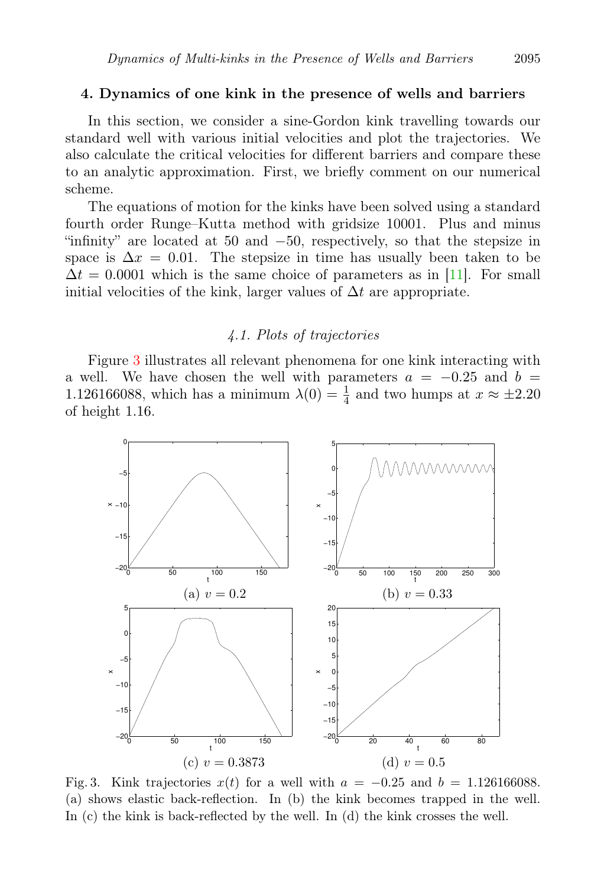#### 4. Dynamics of one kink in the presence of wells and barriers

In this section, we consider a sine-Gordon kink travelling towards our standard well with various initial velocities and plot the trajectories. We also calculate the critical velocities for different barriers and compare these to an analytic approximation. First, we briefly comment on our numerical scheme.

The equations of motion for the kinks have been solved using a standard fourth order Runge–Kutta method with gridsize 10001. Plus and minus "infinity" are located at 50 and −50, respectively, so that the stepsize in space is  $\Delta x = 0.01$ . The stepsize in time has usually been taken to be  $\Delta t = 0.0001$  which is the same choice of parameters as in [\[11\]](#page-18-10). For small initial velocities of the kink, larger values of  $\Delta t$  are appropriate.

#### 4.1. Plots of trajectories

<span id="page-9-0"></span>Figure [3](#page-8-1) illustrates all relevant phenomena for one kink interacting with a well. We have chosen the well with parameters  $a = -0.25$  and  $b =$ 1.126166088, which has a minimum  $\lambda(0) = \frac{1}{4}$  and two humps at  $x \approx \pm 2.20$ of height 1.16.



Fig. 3. Kink trajectories  $x(t)$  for a well with  $a = -0.25$  and  $b = 1.126166088$ . (a) shows elastic back-reflection. In (b) the kink becomes trapped in the well. In (c) the kink is back-reflected by the well. In (d) the kink crosses the well.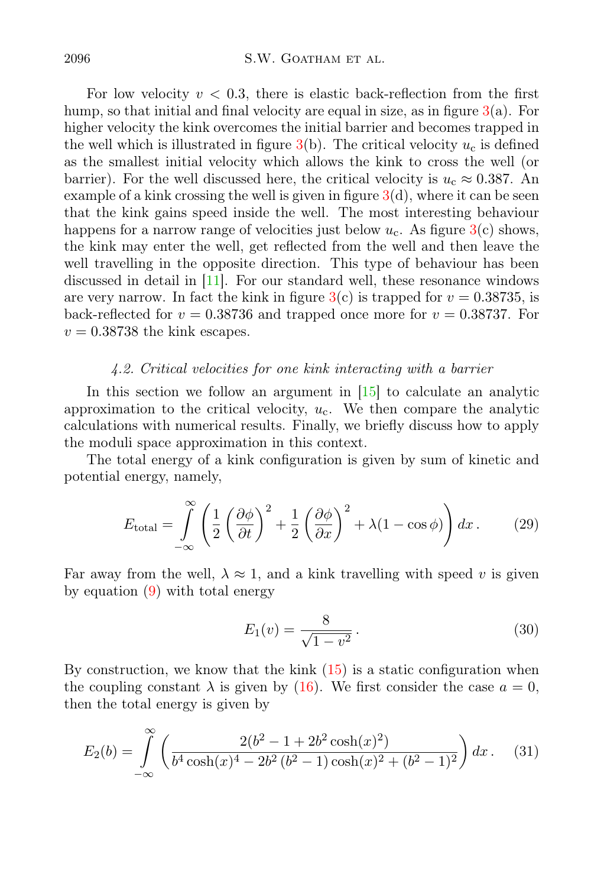For low velocity  $v < 0.3$ , there is elastic back-reflection from the first hump, so that initial and final velocity are equal in size, as in figure  $3(a)$  $3(a)$ . For higher velocity the kink overcomes the initial barrier and becomes trapped in the well which is illustrated in figure  $3(b)$  $3(b)$ . The critical velocity  $u_c$  is defined as the smallest initial velocity which allows the kink to cross the well (or barrier). For the well discussed here, the critical velocity is  $u_c \approx 0.387$ . An example of a kink crossing the well is given in figure  $3(d)$  $3(d)$ , where it can be seen that the kink gains speed inside the well. The most interesting behaviour happens for a narrow range of velocities just below  $u_{\rm c}$ . As figure [3\(](#page-8-1)c) shows, the kink may enter the well, get reflected from the well and then leave the well travelling in the opposite direction. This type of behaviour has been discussed in detail in [\[11\]](#page-18-10). For our standard well, these resonance windows are very narrow. In fact the kink in figure  $3(c)$  $3(c)$  is trapped for  $v = 0.38735$ , is back-reflected for  $v = 0.38736$  and trapped once more for  $v = 0.38737$ . For  $v = 0.38738$  the kink escapes.

#### <span id="page-10-0"></span>4.2. Critical velocities for one kink interacting with a barrier

In this section we follow an argument in  $[15]$  to calculate an analytic approximation to the critical velocity,  $u_c$ . We then compare the analytic calculations with numerical results. Finally, we briefly discuss how to apply the moduli space approximation in this context.

The total energy of a kink configuration is given by sum of kinetic and potential energy, namely,

$$
E_{\text{total}} = \int_{-\infty}^{\infty} \left( \frac{1}{2} \left( \frac{\partial \phi}{\partial t} \right)^2 + \frac{1}{2} \left( \frac{\partial \phi}{\partial x} \right)^2 + \lambda (1 - \cos \phi) \right) dx. \tag{29}
$$

Far away from the well,  $\lambda \approx 1$ , and a kink travelling with speed v is given by equation [\(9\)](#page-2-5) with total energy

$$
E_1(v) = \frac{8}{\sqrt{1 - v^2}}.
$$
\n(30)

By construction, we know that the kink  $(15)$  is a static configuration when the coupling constant  $\lambda$  is given by [\(16\)](#page-5-0). We first consider the case  $a = 0$ , then the total energy is given by

$$
E_2(b) = \int_{-\infty}^{\infty} \left( \frac{2(b^2 - 1 + 2b^2 \cosh(x)^2)}{b^4 \cosh(x)^4 - 2b^2 (b^2 - 1) \cosh(x)^2 + (b^2 - 1)^2} \right) dx. \tag{31}
$$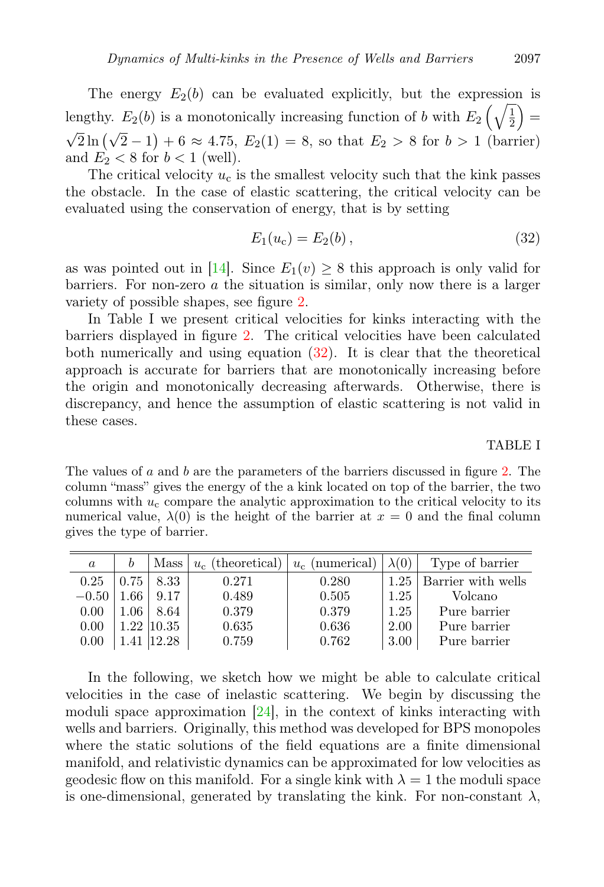The energy  $E_2(b)$  can be evaluated explicitly, but the expression is lengthy.  $E_2(b)$  is a monotonically increasing function of b with  $E_2\left(\sqrt{\frac{1}{2}}\right)$  $\frac{1}{2}$  =  $\sqrt{2} \ln (\sqrt{2} - 1) + 6 \approx 4.75$ ,  $E_2(1) = 8$ , so that  $E_2 > 8$  for  $b > 1$  (barrier) and  $E_2 < 8$  for  $b < 1$  (well).

<span id="page-11-0"></span>The critical velocity  $u_c$  is the smallest velocity such that the kink passes the obstacle. In the case of elastic scattering, the critical velocity can be evaluated using the conservation of energy, that is by setting

$$
E_1(u_c) = E_2(b), \t\t(32)
$$

as was pointed out in [\[14\]](#page-18-13). Since  $E_1(v) \geq 8$  this approach is only valid for barriers. For non-zero  $\alpha$  the situation is similar, only now there is a larger variety of possible shapes, see figure [2.](#page-7-0)

In Table I we present critical velocities for kinks interacting with the barriers displayed in figure [2.](#page-7-0) The critical velocities have been calculated both numerically and using equation  $(32)$ . It is clear that the theoretical approach is accurate for barriers that are monotonically increasing before the origin and monotonically decreasing afterwards. Otherwise, there is discrepancy, and hence the assumption of elastic scattering is not valid in these cases.

TABLE I

The values of a and b are the parameters of the barriers discussed in figure [2.](#page-7-0) The column "mass" gives the energy of the a kink located on top of the barrier, the two columns with  $u_c$  compare the analytic approximation to the critical velocity to its numerical value,  $\lambda(0)$  is the height of the barrier at  $x = 0$  and the final column gives the type of barrier.

| $\alpha$ |      | Mass              | $u_{\rm c}$ (theoretical) | $u_c$ (numerical) | $\lambda(0)$ | Type of barrier           |
|----------|------|-------------------|---------------------------|-------------------|--------------|---------------------------|
| 0.25     | 0.75 | 8.33              | 0.271                     | 0.280             | 1.25         | <b>Barrier</b> with wells |
| $-0.50$  | 1.66 | 9.17              | 0.489                     | 0.505             | 1.25         | Volcano                   |
| 0.00     | 1.06 | 8.64              | 0.379                     | 0.379             | 1.25         | Pure barrier              |
| 0.00     |      | $1.22 \;   10.35$ | 0.635                     | 0.636             | 2.00         | Pure barrier              |
| 0.00     |      | 1.41   12.28      | 0.759                     | 0.762             | 3.00         | Pure barrier              |

In the following, we sketch how we might be able to calculate critical velocities in the case of inelastic scattering. We begin by discussing the moduli space approximation  $[24]$ , in the context of kinks interacting with wells and barriers. Originally, this method was developed for BPS monopoles where the static solutions of the field equations are a finite dimensional manifold, and relativistic dynamics can be approximated for low velocities as geodesic flow on this manifold. For a single kink with  $\lambda = 1$  the moduli space is one-dimensional, generated by translating the kink. For non-constant  $\lambda$ ,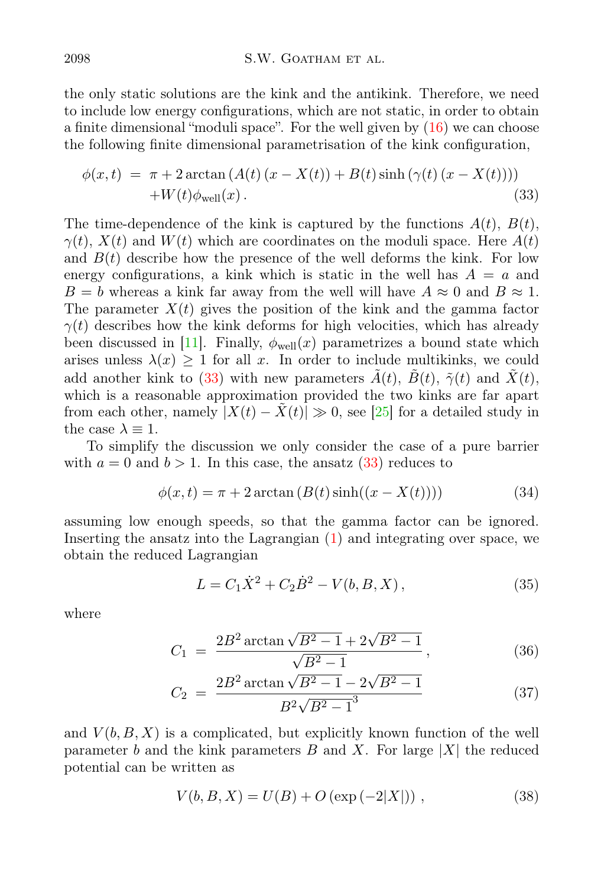the only static solutions are the kink and the antikink. Therefore, we need to include low energy configurations, which are not static, in order to obtain a finite dimensional "moduli space". For the well given by [\(16\)](#page-5-0) we can choose the following finite dimensional parametrisation of the kink configuration,

$$
\phi(x,t) = \pi + 2\arctan\left(A(t)\left(x - X(t)\right) + B(t)\sinh\left(\gamma(t)\left(x - X(t)\right)\right)\right) + W(t)\phi_{\text{well}}(x).
$$
\n(33)

The time-dependence of the kink is captured by the functions  $A(t)$ ,  $B(t)$ ,  $\gamma(t)$ ,  $X(t)$  and  $W(t)$  which are coordinates on the moduli space. Here  $A(t)$ and  $B(t)$  describe how the presence of the well deforms the kink. For low energy configurations, a kink which is static in the well has  $A = a$  and  $B = b$  whereas a kink far away from the well will have  $A \approx 0$  and  $B \approx 1$ . The parameter  $X(t)$  gives the position of the kink and the gamma factor  $\gamma(t)$  describes how the kink deforms for high velocities, which has already been discussed in [\[11\]](#page-18-10). Finally,  $\phi_{well}(x)$  parametrizes a bound state which arises unless  $\lambda(x) \geq 1$  for all x. In order to include multikinks, we could add another kink to [\(33\)](#page-11-0) with new parameters  $\tilde{A}(t)$ ,  $\tilde{B}(t)$ ,  $\tilde{\gamma}(t)$  and  $\tilde{X}(t)$ , which is a reasonable approximation provided the two kinks are far apart from each other, namely  $|X(t) - \tilde{X}(t)| \gg 0$ , see [\[25\]](#page-18-24) for a detailed study in the case  $\lambda \equiv 1$ .

<span id="page-12-0"></span>To simplify the discussion we only consider the case of a pure barrier with  $a = 0$  and  $b > 1$ . In this case, the ansatz  $(33)$  reduces to

$$
\phi(x,t) = \pi + 2\arctan\left(B(t)\sinh((x - X(t)))\right) \tag{34}
$$

assuming low enough speeds, so that the gamma factor can be ignored. Inserting the ansatz into the Lagrangian [\(1\)](#page-0-0) and integrating over space, we obtain the reduced Lagrangian

$$
L = C_1 \dot{X}^2 + C_2 \dot{B}^2 - V(b, B, X), \qquad (35)
$$

where

$$
C_1 = \frac{2B^2 \arctan\sqrt{B^2 - 1} + 2\sqrt{B^2 - 1}}{\sqrt{B^2 - 1}},
$$
\n(36)

$$
C_2 = \frac{2B^2 \arctan\sqrt{B^2 - 1} - 2\sqrt{B^2 - 1}}{B^2 \sqrt{B^2 - 1}^3}
$$
(37)

and  $V(b, B, X)$  is a complicated, but explicitly known function of the well parameter b and the kink parameters B and X. For large  $|X|$  the reduced potential can be written as

$$
V(b, B, X) = U(B) + O(\exp(-2|X|)),
$$
\n(38)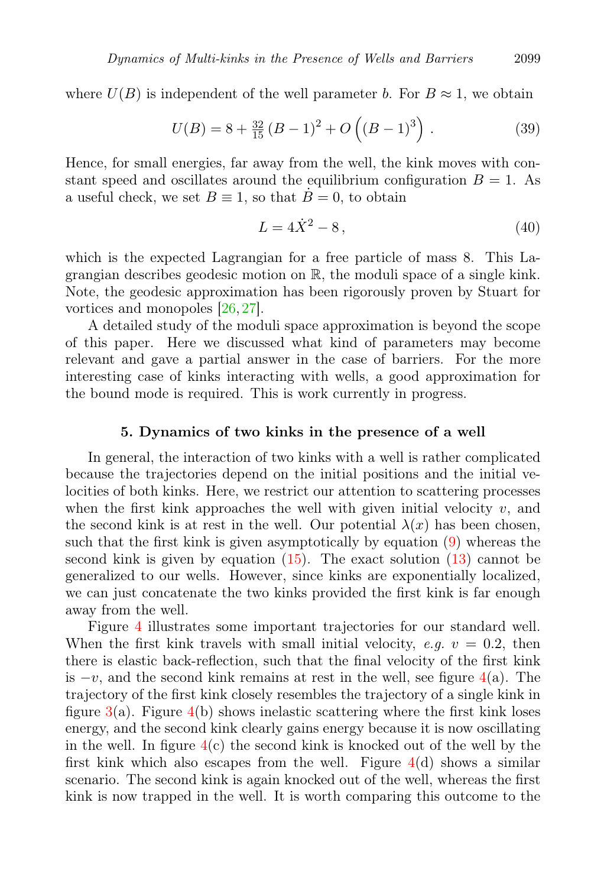where  $U(B)$  is independent of the well parameter b. For  $B \approx 1$ , we obtain

$$
U(B) = 8 + \frac{32}{15} (B - 1)^2 + O\left( (B - 1)^3 \right).
$$
 (39)

Hence, for small energies, far away from the well, the kink moves with constant speed and oscillates around the equilibrium configuration  $B = 1$ . As a useful check, we set  $B \equiv 1$ , so that  $\dot{B} = 0$ , to obtain

$$
L = 4\dot{X}^2 - 8\,,\tag{40}
$$

which is the expected Lagrangian for a free particle of mass 8. This Lagrangian describes geodesic motion on  $\mathbb{R}$ , the moduli space of a single kink. Note, the geodesic approximation has been rigorously proven by Stuart for vortices and monopoles [\[26,](#page-18-25) [27\]](#page-19-0).

A detailed study of the moduli space approximation is beyond the scope of this paper. Here we discussed what kind of parameters may become relevant and gave a partial answer in the case of barriers. For the more interesting case of kinks interacting with wells, a good approximation for the bound mode is required. This is work currently in progress.

#### 5. Dynamics of two kinks in the presence of a well

<span id="page-13-0"></span>In general, the interaction of two kinks with a well is rather complicated because the trajectories depend on the initial positions and the initial velocities of both kinks. Here, we restrict our attention to scattering processes when the first kink approaches the well with given initial velocity  $v$ , and the second kink is at rest in the well. Our potential  $\lambda(x)$  has been chosen, such that the first kink is given asymptotically by equation [\(9\)](#page-2-5) whereas the second kink is given by equation  $(15)$ . The exact solution  $(13)$  cannot be generalized to our wells. However, since kinks are exponentially localized, we can just concatenate the two kinks provided the first kink is far enough away from the well.

Figure [4](#page-13-0) illustrates some important trajectories for our standard well. When the first kink travels with small initial velocity, e.g.  $v = 0.2$ , then there is elastic back-reflection, such that the final velocity of the first kink is  $-v$ , and the second kink remains at rest in the well, see figure [4\(](#page-13-0)a). The trajectory of the first kink closely resembles the trajectory of a single kink in figure  $3(a)$  $3(a)$ . Figure  $4(b)$  $4(b)$  shows inelastic scattering where the first kink loses energy, and the second kink clearly gains energy because it is now oscillating in the well. In figure  $4(c)$  $4(c)$  the second kink is knocked out of the well by the first kink which also escapes from the well. Figure  $4(d)$  $4(d)$  shows a similar scenario. The second kink is again knocked out of the well, whereas the first kink is now trapped in the well. It is worth comparing this outcome to the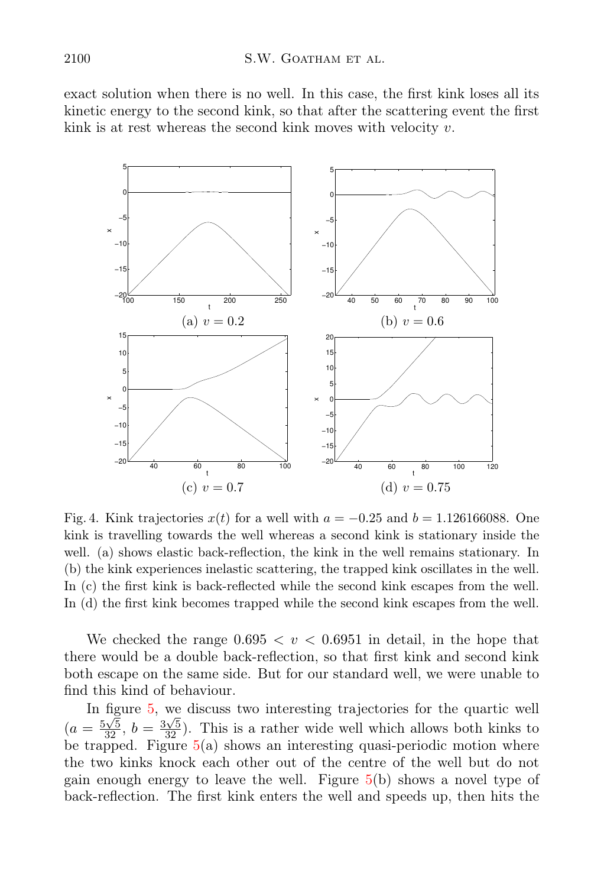exact solution when there is no well. In this case, the first kink loses all its kinetic energy to the second kink, so that after the scattering event the first kink is at rest whereas the second kink moves with velocity  $v$ .

<span id="page-14-0"></span>

Fig. 4. Kink trajectories  $x(t)$  for a well with  $a = -0.25$  and  $b = 1.126166088$ . One kink is travelling towards the well whereas a second kink is stationary inside the well. (a) shows elastic back-reflection, the kink in the well remains stationary. In (b) the kink experiences inelastic scattering, the trapped kink oscillates in the well. In (c) the first kink is back-reflected while the second kink escapes from the well. In (d) the first kink becomes trapped while the second kink escapes from the well.

We checked the range  $0.695 < v < 0.6951$  in detail, in the hope that there would be a double back-reflection, so that first kink and second kink both escape on the same side. But for our standard well, we were unable to find this kind of behaviour.

<span id="page-14-1"></span>In figure [5,](#page-14-0) we discuss two interesting trajectories for the quartic well  $(a = \frac{5\sqrt{5}}{32}, b = \frac{3\sqrt{5}}{32})$ . This is a rather wide well which allows both kinks to be trapped. Figure  $5(a)$  $5(a)$  shows an interesting quasi-periodic motion where the two kinks knock each other out of the centre of the well but do not gain enough energy to leave the well. Figure [5\(](#page-14-0)b) shows a novel type of back-reflection. The first kink enters the well and speeds up, then hits the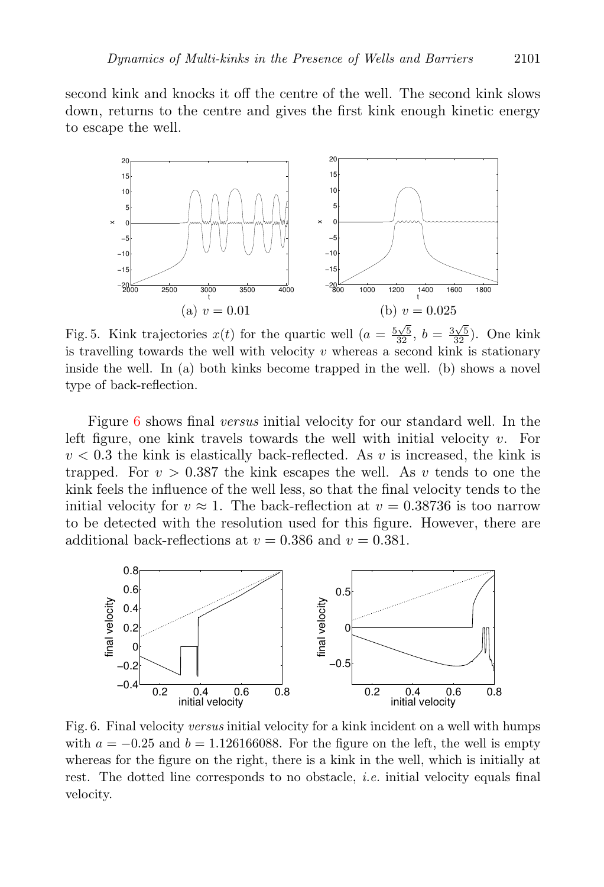second kink and knocks it off the centre of the well. The second kink slows down, returns to the centre and gives the first kink enough kinetic energy to escape the well.



Fig. 5. Kink trajectories  $x(t)$  for the quartic well  $(a = \frac{5\sqrt{5}}{32}, b = \frac{3\sqrt{5}}{32})$ . One kink is travelling towards the well with velocity  $v$  whereas a second kink is stationary inside the well. In (a) both kinks become trapped in the well. (b) shows a novel type of back-reflection.

Figure [6](#page-14-1) shows final *versus* initial velocity for our standard well. In the left figure, one kink travels towards the well with initial velocity  $v$ . For  $v < 0.3$  the kink is elastically back-reflected. As v is increased, the kink is trapped. For  $v > 0.387$  the kink escapes the well. As v tends to one the kink feels the influence of the well less, so that the final velocity tends to the initial velocity for  $v \approx 1$ . The back-reflection at  $v = 0.38736$  is too narrow to be detected with the resolution used for this figure. However, there are additional back-reflections at  $v = 0.386$  and  $v = 0.381$ .

<span id="page-15-0"></span>

Fig. 6. Final velocity *versus* initial velocity for a kink incident on a well with humps with  $a = -0.25$  and  $b = 1.126166088$ . For the figure on the left, the well is empty whereas for the figure on the right, there is a kink in the well, which is initially at rest. The dotted line corresponds to no obstacle, *i.e.* initial velocity equals final velocity.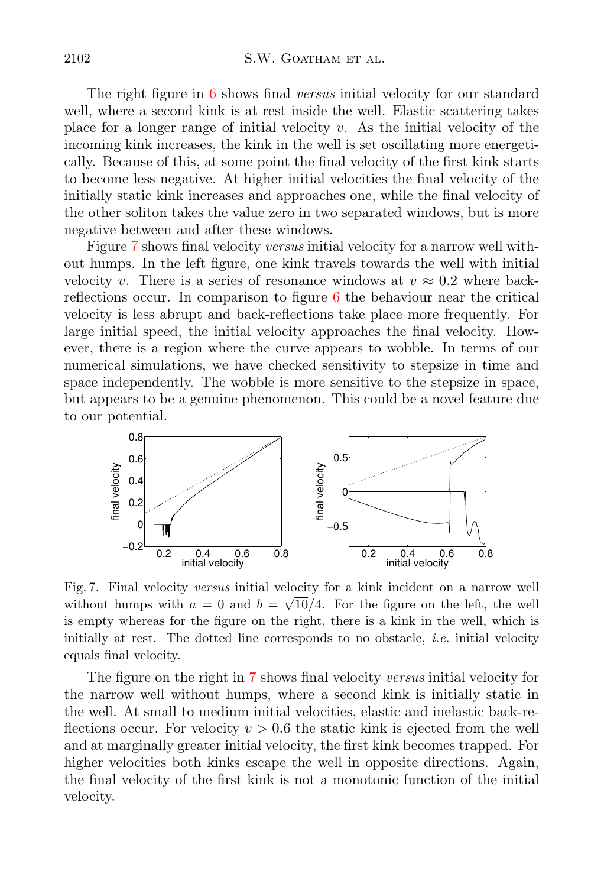The right figure in [6](#page-14-1) shows final versus initial velocity for our standard well, where a second kink is at rest inside the well. Elastic scattering takes place for a longer range of initial velocity  $v$ . As the initial velocity of the incoming kink increases, the kink in the well is set oscillating more energetically. Because of this, at some point the final velocity of the first kink starts to become less negative. At higher initial velocities the final velocity of the initially static kink increases and approaches one, while the final velocity of the other soliton takes the value zero in two separated windows, but is more negative between and after these windows.

Figure [7](#page-15-0) shows final velocity versus initial velocity for a narrow well without humps. In the left figure, one kink travels towards the well with initial velocity v. There is a series of resonance windows at  $v \approx 0.2$  where backreflections occur. In comparison to figure [6](#page-14-1) the behaviour near the critical velocity is less abrupt and back-reflections take place more frequently. For large initial speed, the initial velocity approaches the final velocity. However, there is a region where the curve appears to wobble. In terms of our numerical simulations, we have checked sensitivity to stepsize in time and space independently. The wobble is more sensitive to the stepsize in space, but appears to be a genuine phenomenon. This could be a novel feature due to our potential.



Fig. 7. Final velocity *versus* initial velocity for a kink incident on a narrow well without humps with  $a = 0$  and  $b = \sqrt{10}/4$ . For the figure on the left, the well is empty whereas for the figure on the right, there is a kink in the well, which is initially at rest. The dotted line corresponds to no obstacle, *i.e.* initial velocity equals final velocity.

The figure on the right in [7](#page-15-0) shows final velocity versus initial velocity for the narrow well without humps, where a second kink is initially static in the well. At small to medium initial velocities, elastic and inelastic back-reflections occur. For velocity  $v > 0.6$  the static kink is ejected from the well and at marginally greater initial velocity, the first kink becomes trapped. For higher velocities both kinks escape the well in opposite directions. Again, the final velocity of the first kink is not a monotonic function of the initial velocity.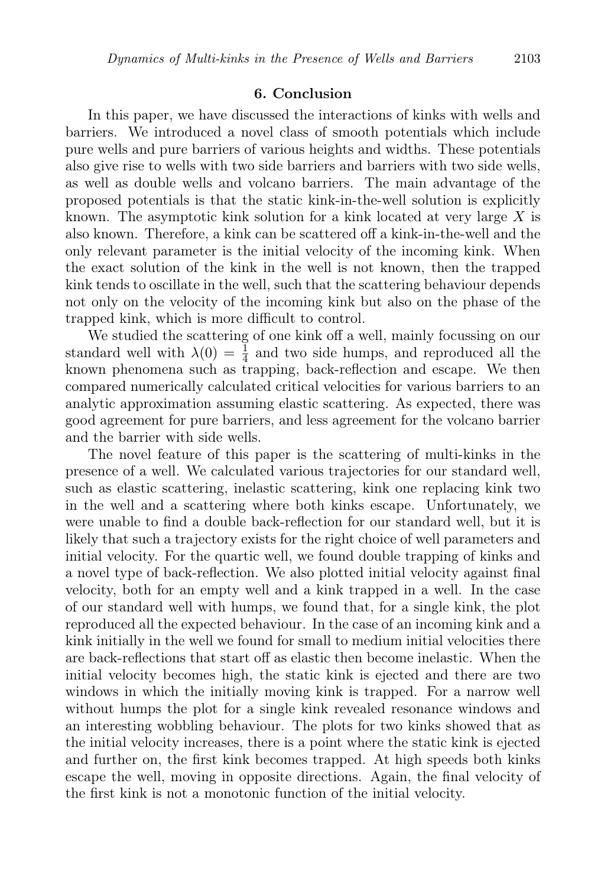#### 6. Conclusion

In this paper, we have discussed the interactions of kinks with wells and barriers. We introduced a novel class of smooth potentials which include pure wells and pure barriers of various heights and widths. These potentials also give rise to wells with two side barriers and barriers with two side wells, as well as double wells and volcano barriers. The main advantage of the proposed potentials is that the static kink-in-the-well solution is explicitly known. The asymptotic kink solution for a kink located at very large  $X$  is also known. Therefore, a kink can be scattered off a kink-in-the-well and the only relevant parameter is the initial velocity of the incoming kink. When the exact solution of the kink in the well is not known, then the trapped kink tends to oscillate in the well, such that the scattering behaviour depends not only on the velocity of the incoming kink but also on the phase of the trapped kink, which is more difficult to control.

We studied the scattering of one kink off a well, mainly focussing on our standard well with  $\lambda(0) = \frac{1}{4}$  and two side humps, and reproduced all the known phenomena such as trapping, back-reflection and escape. We then compared numerically calculated critical velocities for various barriers to an analytic approximation assuming elastic scattering. As expected, there was good agreement for pure barriers, and less agreement for the volcano barrier and the barrier with side wells.

The novel feature of this paper is the scattering of multi-kinks in the presence of a well. We calculated various trajectories for our standard well, such as elastic scattering, inelastic scattering, kink one replacing kink two in the well and a scattering where both kinks escape. Unfortunately, we were unable to find a double back-reflection for our standard well, but it is likely that such a trajectory exists for the right choice of well parameters and initial velocity. For the quartic well, we found double trapping of kinks and a novel type of back-reflection. We also plotted initial velocity against final velocity, both for an empty well and a kink trapped in a well. In the case of our standard well with humps, we found that, for a single kink, the plot reproduced all the expected behaviour. In the case of an incoming kink and a kink initially in the well we found for small to medium initial velocities there are back-reflections that start off as elastic then become inelastic. When the initial velocity becomes high, the static kink is ejected and there are two windows in which the initially moving kink is trapped. For a narrow well without humps the plot for a single kink revealed resonance windows and an interesting wobbling behaviour. The plots for two kinks showed that as the initial velocity increases, there is a point where the static kink is ejected and further on, the first kink becomes trapped. At high speeds both kinks escape the well, moving in opposite directions. Again, the final velocity of the first kink is not a monotonic function of the initial velocity.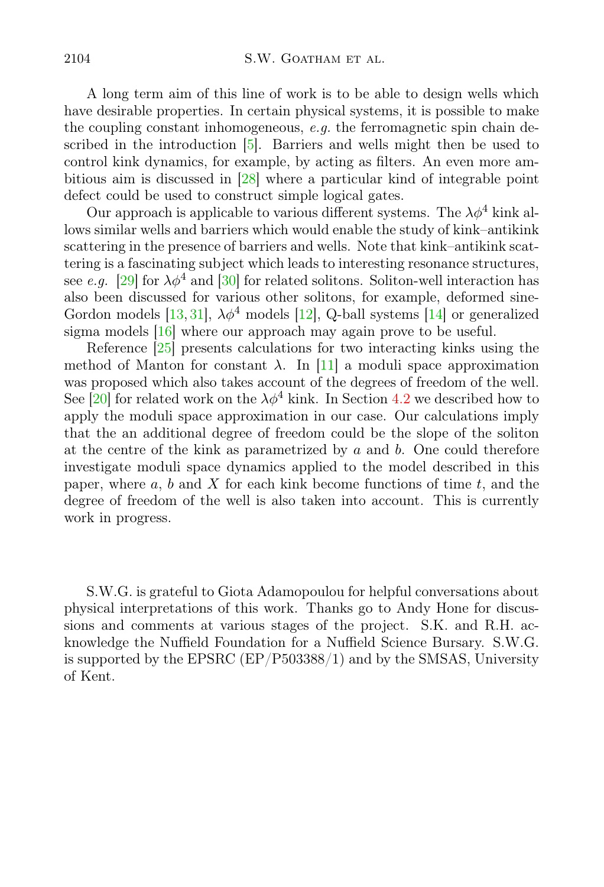<span id="page-18-1"></span><span id="page-18-0"></span>A long term aim of this line of work is to be able to design wells which have desirable properties. In certain physical systems, it is possible to make the coupling constant inhomogeneous,  $e.g.$  the ferromagnetic spin chain described in the introduction [\[5\]](#page-18-4). Barriers and wells might then be used to control kink dynamics, for example, by acting as filters. An even more ambitious aim is discussed in [\[28\]](#page-19-1) where a particular kind of integrable point defect could be used to construct simple logical gates.

<span id="page-18-5"></span><span id="page-18-4"></span><span id="page-18-3"></span><span id="page-18-2"></span>Our approach is applicable to various different systems. The  $\lambda \phi^4$  kink allows similar wells and barriers which would enable the study of kink–antikink scattering in the presence of barriers and wells. Note that kink–antikink scattering is a fascinating subject which leads to interesting resonance structures, see e.g. [\[29\]](#page-19-2) for  $\lambda \phi^4$  and [\[30\]](#page-19-3) for related solitons. Soliton-well interaction has also been discussed for various other solitons, for example, deformed sine-Gordon models [\[13,](#page-18-12) [31\]](#page-19-4),  $\lambda \phi^4$  models [\[12\]](#page-18-11), Q-ball systems [\[14\]](#page-18-13) or generalized sigma models [\[16\]](#page-18-15) where our approach may again prove to be useful.

<span id="page-18-13"></span><span id="page-18-12"></span><span id="page-18-11"></span><span id="page-18-10"></span><span id="page-18-9"></span><span id="page-18-8"></span><span id="page-18-7"></span><span id="page-18-6"></span>Reference [\[25\]](#page-18-24) presents calculations for two interacting kinks using the method of Manton for constant  $\lambda$ . In [\[11\]](#page-18-10) a moduli space approximation was proposed which also takes account of the degrees of freedom of the well. See [\[20\]](#page-18-19) for related work on the  $\lambda \phi^4$  kink. In Section [4.2](#page-9-0) we described how to apply the moduli space approximation in our case. Our calculations imply that the an additional degree of freedom could be the slope of the soliton at the centre of the kink as parametrized by  $a$  and  $b$ . One could therefore investigate moduli space dynamics applied to the model described in this paper, where  $a, b$  and X for each kink become functions of time  $t$ , and the degree of freedom of the well is also taken into account. This is currently work in progress.

<span id="page-18-25"></span><span id="page-18-24"></span><span id="page-18-23"></span><span id="page-18-22"></span><span id="page-18-21"></span><span id="page-18-20"></span><span id="page-18-19"></span><span id="page-18-18"></span><span id="page-18-17"></span><span id="page-18-16"></span><span id="page-18-15"></span><span id="page-18-14"></span>S.W.G. is grateful to Giota Adamopoulou for helpful conversations about physical interpretations of this work. Thanks go to Andy Hone for discussions and comments at various stages of the project. S.K. and R.H. acknowledge the Nuffield Foundation for a Nuffield Science Bursary. S.W.G. is supported by the EPSRC (EP/P503388/1) and by the SMSAS, University of Kent.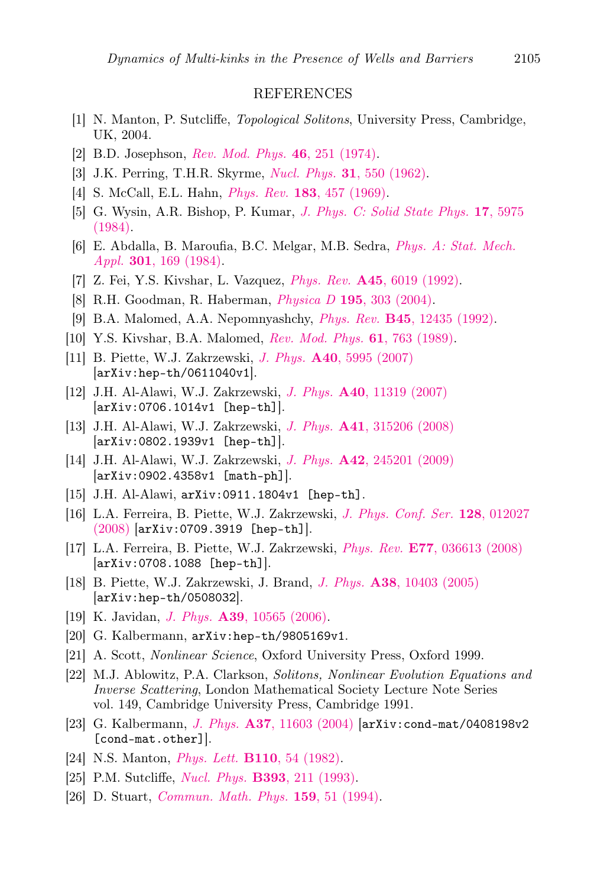#### REFERENCES

- <span id="page-19-1"></span><span id="page-19-0"></span>[1] N. Manton, P. Sutcliffe, *Topological Solitons*, University Press, Cambridge, UK, 2004.
- <span id="page-19-2"></span>[2] B.D. Josephson, *[Rev. Mod. Phys.](http://dx.doi.org/10.1103/RevModPhys.46.251)* 46, 251 (1974).
- <span id="page-19-4"></span><span id="page-19-3"></span>[3] J.K. Perring, T.H.R. Skyrme, *Nucl. Phys.* 31[, 550 \(1962\).](http://dx.doi.org/10.1016/0029-5582(62)90774-5)
- [4] S. McCall, E.L. Hahn, *Phys. Rev.* 183[, 457 \(1969\).](http://dx.doi.org/10.1103/PhysRev.183.457)
- [5] G. Wysin, A.R. Bishop, P. Kumar, *[J. Phys. C: Solid State Phys.](http://dx.doi.org/10.1088/0022-3719/17/33/009)* 17, 5975 [\(1984\).](http://dx.doi.org/10.1088/0022-3719/17/33/009)
- [6] E. Abdalla, B. Maroufia, B.C. Melgar, M.B. Sedra, *[Phys. A: Stat. Mech.](http://dx.doi.org/10.1016/S0378-4371(01)00399-5) Appl.* 301[, 169 \(1984\).](http://dx.doi.org/10.1016/S0378-4371(01)00399-5)
- [7] Z. Fei, Y.S. Kivshar, L. Vazquez, *Phys. Rev.* A45[, 6019 \(1992\).](http://dx.doi.org/10.1103/PhysRevA.45.6019)
- [8] R.H. Goodman, R. Haberman, *Physica D* 195[, 303 \(2004\).](http://dx.doi.org/10.1016/j.physd.2004.04.002)
- [9] B.A. Malomed, A.A. Nepomnyashchy, *Phys. Rev.* B45[, 12435 \(1992\).](http://dx.doi.org/10.1103/PhysRevB.45.12435)
- [10] Y.S. Kivshar, B.A. Malomed, *[Rev. Mod. Phys.](http://dx.doi.org/10.1103/RevModPhys.61.763)* 61, 763 (1989).
- [11] B. Piette, W.J. Zakrzewski, *J. Phys.* A40[, 5995 \(2007\)](http://dx.doi.org/ 10.1088/1751-8113/40/22/016) [arXiv:hep-th/0611040v1].
- [12] J.H. Al-Alawi, W.J. Zakrzewski, *J. Phys.* A40[, 11319 \(2007\)](http://dx.doi.org/10.1088/1751-8113/40/37/009) [arXiv:0706.1014v1 [hep-th]].
- [13] J.H. Al-Alawi, W.J. Zakrzewski, *J. Phys.* A41[, 315206 \(2008\)](http://dx.doi.org/10.1088/1751-8113/41/31/315206) [arXiv:0802.1939v1 [hep-th]].
- [14] J.H. Al-Alawi, W.J. Zakrzewski, *J. Phys.* A42[, 245201 \(2009\)](http://dx.doi.org/10.1088/1751-8113/42/24/245201) [arXiv:0902.4358v1 [math-ph]].
- [15] J.H. Al-Alawi, arXiv:0911.1804v1 [hep-th].
- [16] L.A. Ferreira, B. Piette, W.J. Zakrzewski, *[J. Phys. Conf. Ser.](http://dx.doi.org/10.1088/1742-6596/128/1/012027)* 128, 012027 [\(2008\)](http://dx.doi.org/10.1088/1742-6596/128/1/012027) [arXiv:0709.3919 [hep-th]].
- [17] L.A. Ferreira, B. Piette, W.J. Zakrzewski, *Phys. Rev.* E77[, 036613 \(2008\)](http://dx.doi.org/10.1103/PhysRevE.77.036613) [arXiv:0708.1088 [hep-th]].
- [18] B. Piette, W.J. Zakrzewski, J. Brand, *J. Phys.* A38[, 10403 \(2005\)](http://dx.doi.org/10.1088/0305-4470/38/48/011) [arXiv:hep-th/0508032].
- [19] K. Javidan, *J. Phys.* A39[, 10565 \(2006\).](http://dx.doi.org/10.1088/0305-4470/39/33/022)
- [20] G. Kalbermann, arXiv:hep-th/9805169v1.
- [21] A. Scott, *Nonlinear Science*, Oxford University Press, Oxford 1999.
- [22] M.J. Ablowitz, P.A. Clarkson, *Solitons, Nonlinear Evolution Equations and Inverse Scattering*, London Mathematical Society Lecture Note Series vol. 149, Cambridge University Press, Cambridge 1991.
- [23] G. Kalbermann, *J. Phys.* A37[, 11603 \(2004\)](http://dx.doi.org/10.1088/0305-4470/37/48/006) [arXiv:cond-mat/0408198v2 [cond-mat.other]].
- [24] N.S. Manton, *Phys. Lett.* B110[, 54 \(1982\).](http://dx.doi.org/10.1016/0370-2693(82)90950-9)
- [25] P.M. Sutcliffe, *Nucl. Phys.* B393[, 211 \(1993\).](http://dx.doi.org/10.1016/0550-3213(93)90243-I)
- [26] D. Stuart, *[Commun. Math. Phys.](http://dx.doi.org/10.1007/BF02100485)* 159, 51 (1994).